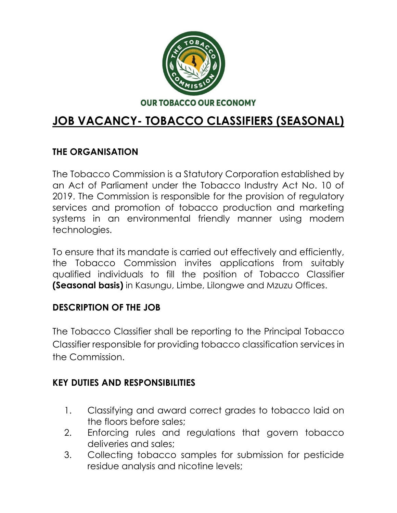

# **JOB VACANCY- TOBACCO CLASSIFIERS (SEASONAL)**

### **THE ORGANISATION**

The Tobacco Commission is a Statutory Corporation established by an Act of Parliament under the Tobacco Industry Act No. 10 of 2019. The Commission is responsible for the provision of regulatory services and promotion of tobacco production and marketing systems in an environmental friendly manner using modern technologies.

To ensure that its mandate is carried out effectively and efficiently, the Tobacco Commission invites applications from suitably qualified individuals to fill the position of Tobacco Classifier **(Seasonal basis)** in Kasungu, Limbe, Lilongwe and Mzuzu Offices.

#### **DESCRIPTION OF THE JOB**

The Tobacco Classifier shall be reporting to the Principal Tobacco Classifier responsible for providing tobacco classification services in the Commission.

### **KEY DUTIES AND RESPONSIBILITIES**

- 1. Classifying and award correct grades to tobacco laid on the floors before sales;
- 2. Enforcing rules and regulations that govern tobacco deliveries and sales;
- 3. Collecting tobacco samples for submission for pesticide residue analysis and nicotine levels;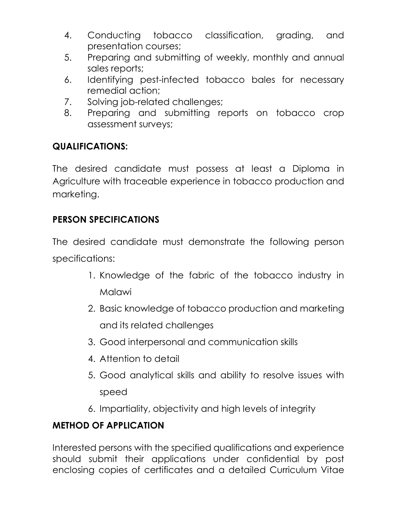- 4. Conducting tobacco classification, grading, and presentation courses;
- 5. Preparing and submitting of weekly, monthly and annual sales reports;
- 6. Identifying pest-infected tobacco bales for necessary remedial action;
- 7. Solving job-related challenges;
- 8. Preparing and submitting reports on tobacco crop assessment surveys;

## **QUALIFICATIONS:**

The desired candidate must possess at least a Diploma in Agriculture with traceable experience in tobacco production and marketing.

## **PERSON SPECIFICATIONS**

The desired candidate must demonstrate the following person specifications:

- 1. Knowledge of the fabric of the tobacco industry in Malawi
- 2. Basic knowledge of tobacco production and marketing and its related challenges
- 3. Good interpersonal and communication skills
- 4. Attention to detail
- 5. Good analytical skills and ability to resolve issues with speed
- 6. Impartiality, objectivity and high levels of integrity

## **METHOD OF APPLICATION**

Interested persons with the specified qualifications and experience should submit their applications under confidential by post enclosing copies of certificates and a detailed Curriculum Vitae